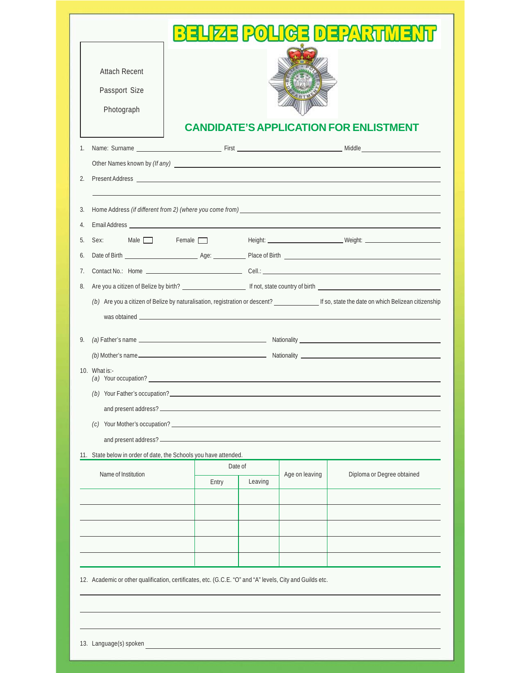| <b>Attach Recent</b>                                             |         |                           |                                                                                                                                      |
|------------------------------------------------------------------|---------|---------------------------|--------------------------------------------------------------------------------------------------------------------------------------|
| Passport Size                                                    |         |                           |                                                                                                                                      |
| Photograph                                                       |         |                           |                                                                                                                                      |
|                                                                  |         |                           | <b>CANDIDATE'S APPLICATION FOR ENLISTMENT</b>                                                                                        |
| $1_{\cdot}$                                                      |         |                           |                                                                                                                                      |
|                                                                  |         |                           |                                                                                                                                      |
| 2.                                                               |         |                           |                                                                                                                                      |
|                                                                  |         |                           |                                                                                                                                      |
| 3.                                                               |         |                           |                                                                                                                                      |
| 4.                                                               |         |                           |                                                                                                                                      |
| 5.                                                               |         |                           | Sex: Male Female Female Height: Weight: Weight:                                                                                      |
| 6.                                                               |         |                           |                                                                                                                                      |
| 7.                                                               |         |                           |                                                                                                                                      |
| 8.                                                               |         |                           |                                                                                                                                      |
|                                                                  |         |                           |                                                                                                                                      |
|                                                                  |         |                           | (b) Are you a citizen of Belize by naturalisation, registration or descent? [67] If so, state the date on which Belizean citizenship |
|                                                                  |         |                           |                                                                                                                                      |
|                                                                  |         |                           |                                                                                                                                      |
| 9.                                                               |         |                           |                                                                                                                                      |
| 10. What $is:-$                                                  |         |                           |                                                                                                                                      |
|                                                                  |         |                           |                                                                                                                                      |
|                                                                  |         |                           |                                                                                                                                      |
|                                                                  |         |                           |                                                                                                                                      |
|                                                                  |         |                           |                                                                                                                                      |
|                                                                  |         |                           |                                                                                                                                      |
|                                                                  | Date of |                           |                                                                                                                                      |
| Name of Institution                                              | Entry   | Age on leaving<br>Leaving | Diploma or Degree obtained                                                                                                           |
|                                                                  |         |                           |                                                                                                                                      |
|                                                                  |         |                           |                                                                                                                                      |
|                                                                  |         |                           |                                                                                                                                      |
|                                                                  |         |                           |                                                                                                                                      |
| 11. State below in order of date, the Schools you have attended. |         |                           |                                                                                                                                      |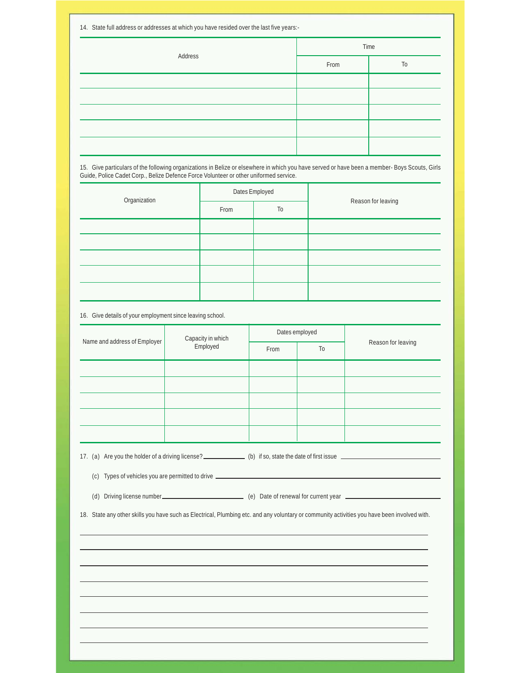| 14. State full address or addresses at which you have resided over the last five years:- |      |                |  |  |  |
|------------------------------------------------------------------------------------------|------|----------------|--|--|--|
|                                                                                          | Time |                |  |  |  |
| Address                                                                                  | From | T <sub>0</sub> |  |  |  |
|                                                                                          |      |                |  |  |  |
|                                                                                          |      |                |  |  |  |
|                                                                                          |      |                |  |  |  |
|                                                                                          |      |                |  |  |  |
|                                                                                          |      |                |  |  |  |

15. Give particulars of the following organizations in Belize or elsewhere in which you have served or have been a member- Boys Scouts, Girls Guide, Police Cadet Corp., Belize Defence Force Volunteer or other uniformed service.

| Organization |      | Dates Employed |                    |  |  |
|--------------|------|----------------|--------------------|--|--|
|              | From | T <sub>0</sub> | Reason for leaving |  |  |
|              |      |                |                    |  |  |
|              |      |                |                    |  |  |
|              |      |                |                    |  |  |
|              |      |                |                    |  |  |
|              |      |                |                    |  |  |

16. Give details of your employment since leaving school.

| Name and address of Employer | Capacity in which<br>Employed |      | Dates employed |                    |
|------------------------------|-------------------------------|------|----------------|--------------------|
|                              |                               | From | To             | Reason for leaving |
|                              |                               |      |                |                    |
|                              |                               |      |                |                    |
|                              |                               |      |                |                    |
|                              |                               |      |                |                    |
|                              |                               |      |                |                    |

17. (a) Are you the holder of a driving license? (b) if so, state the date of first issue

(c) Types of vehicles you are permitted to drive

(d) Driving license number (e) Date of renewal for current year

18. State any other skills you have such as Electrical, Plumbing etc. and any voluntary or community activities you have been involved with.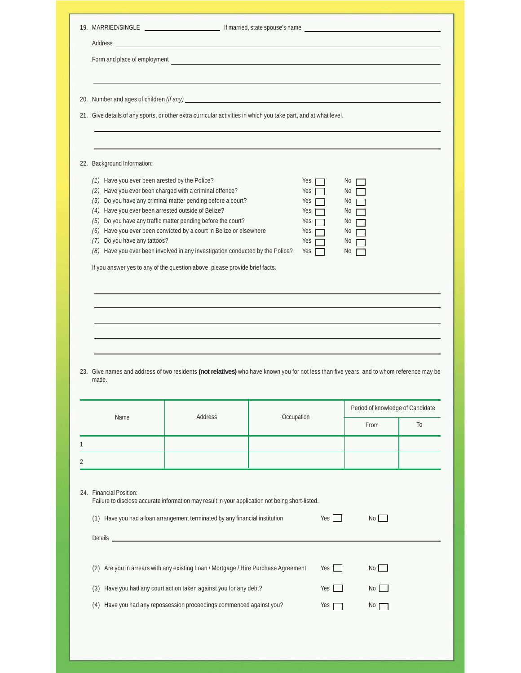| Address                                                                                                                             |                                                                                                                                                                                                                                                                                                                                               |            |                                                      |                                              |    |
|-------------------------------------------------------------------------------------------------------------------------------------|-----------------------------------------------------------------------------------------------------------------------------------------------------------------------------------------------------------------------------------------------------------------------------------------------------------------------------------------------|------------|------------------------------------------------------|----------------------------------------------|----|
|                                                                                                                                     |                                                                                                                                                                                                                                                                                                                                               |            |                                                      |                                              |    |
|                                                                                                                                     |                                                                                                                                                                                                                                                                                                                                               |            |                                                      |                                              |    |
|                                                                                                                                     | 21. Give details of any sports, or other extra curricular activities in which you take part, and at what level.                                                                                                                                                                                                                               |            |                                                      |                                              |    |
| 22. Background Information:                                                                                                         |                                                                                                                                                                                                                                                                                                                                               |            |                                                      |                                              |    |
| (1) Have you ever been arested by the Police?<br>(4) Have you ever been arrested outside of Belize?<br>(7) Do you have any tattoos? | (2) Have you ever been charged with a criminal offence?<br>(3) Do you have any criminal matter pending before a court?<br>(5) Do you have any traffic matter pending before the court?<br>(6) Have you ever been convicted by a court in Belize or elsewhere<br>(8) Have you ever been involved in any investigation conducted by the Police? |            | Yes<br>Yes<br>Yes<br>Yes<br>Yes<br>Yes<br>Yes<br>Yes | No<br>No<br>No<br>No<br>No<br>No<br>No<br>No |    |
|                                                                                                                                     |                                                                                                                                                                                                                                                                                                                                               |            |                                                      |                                              |    |
|                                                                                                                                     |                                                                                                                                                                                                                                                                                                                                               |            |                                                      |                                              |    |
| made.                                                                                                                               | 23. Give names and address of two residents (not relatives) who have known you for not less than five years, and to whom reference may be                                                                                                                                                                                                     |            |                                                      |                                              |    |
| Name                                                                                                                                | Address                                                                                                                                                                                                                                                                                                                                       | Occupation |                                                      | Period of knowledge of Candidate             |    |
|                                                                                                                                     |                                                                                                                                                                                                                                                                                                                                               |            |                                                      | From                                         | To |
|                                                                                                                                     |                                                                                                                                                                                                                                                                                                                                               |            |                                                      |                                              |    |
|                                                                                                                                     | Failure to disclose accurate information may result in your application not being short-listed.<br>(1) Have you had a loan arrangement terminated by any financial institution                                                                                                                                                                |            | $Yes$                                                | $No$ $\Box$                                  |    |
|                                                                                                                                     |                                                                                                                                                                                                                                                                                                                                               |            |                                                      |                                              |    |
| 24. Financial Position:                                                                                                             | (2) Are you in arrears with any existing Loan / Mortgage / Hire Purchase Agreement<br>(3) Have you had any court action taken against you for any debt?                                                                                                                                                                                       |            | Yes $\Box$<br>Yes                                    | $No$ $\Box$<br>No                            |    |